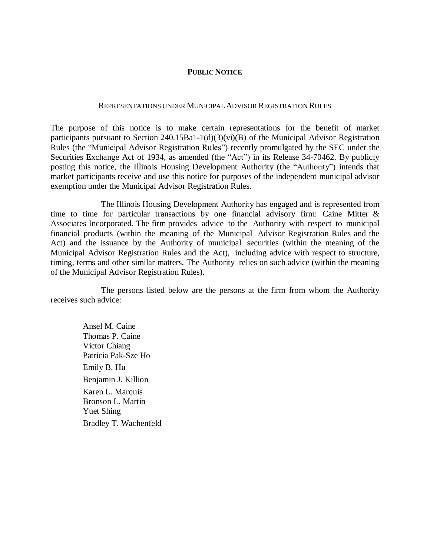## **PUBLIC NOTICE**

## REPRESENTATIONS UNDER MUNICIPALADVISOR REGISTRATION RULES

The purpose of this notice is to make certain representations for the benefit of market participants pursuant to Section 240.15Ba1-1(d)(3)(vi)(B) of the Municipal Advisor Registration Rules (the "Municipal Advisor Registration Rules") recently promulgated by the SEC under the Securities Exchange Act of 1934, as amended (the "Act") in its Release 34-70462. By publicly posting this notice, the Illinois Housing Development Authority (the "Authority") intends that market participants receive and use this notice for purposes of the independent municipal advisor exemption under the Municipal Advisor Registration Rules.

The Illinois Housing Development Authority has engaged and is represented from time to time for particular transactions by one financial advisory firm: Caine Mitter  $\&$ Associates Incorporated. The firm provides advice to the Authority with respect to municipal financial products (within the meaning of the Municipal Advisor Registration Rules and the Act) and the issuance by the Authority of municipal securities (within the meaning of the Municipal Advisor Registration Rules and the Act), including advice with respect to structure, timing, terms and other similar matters. The Authority relies on such advice (within the meaning of the Municipal Advisor Registration Rules).

The persons listed below are the persons at the firm from whom the Authority receives such advice:

Ansel M. Caine Thomas P. Caine Victor Chiang Patricia Pak-Sze Ho Emily B. Hu Benjamin J. Killion Karen L. Marquis Bronson L. Martin Yuet Shing Bradley T. Wachenfeld